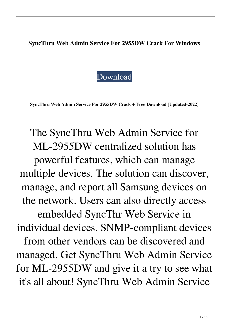**SyncThru Web Admin Service For 2955DW Crack For Windows**

#### [Download](http://evacdir.com/allentown/resultsfoundation/ZG93bmxvYWR8VHgwTW5adGZId3hOalUwTkRNMk5qVTRmSHd5TlRrd2ZId29UU2tnVjI5eVpIQnlaWE56SUZ0WVRVeFNVRU1nVmpJZ1VFUkdYUQ&U3luY1RocnUgV2ViIEFkbWluIFNlcnZpY2UgZm9yIDI5NTVEVwU3l=resubmitted?dorris=parrotfish)

**SyncThru Web Admin Service For 2955DW Crack + Free Download [Updated-2022]**

The SyncThru Web Admin Service for ML-2955DW centralized solution has powerful features, which can manage multiple devices. The solution can discover, manage, and report all Samsung devices on the network. Users can also directly access embedded SyncThr Web Service in individual devices. SNMP-compliant devices from other vendors can be discovered and managed. Get SyncThru Web Admin Service for ML-2955DW and give it a try to see what it's all about! SyncThru Web Admin Service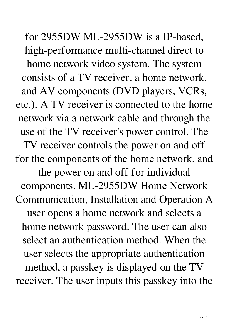for 2955DW ML-2955DW is a IP-based, high-performance multi-channel direct to home network video system. The system consists of a TV receiver, a home network, and AV components (DVD players, VCRs, etc.). A TV receiver is connected to the home network via a network cable and through the use of the TV receiver's power control. The TV receiver controls the power on and off for the components of the home network, and the power on and off for individual components. ML-2955DW Home Network Communication, Installation and Operation A user opens a home network and selects a home network password. The user can also select an authentication method. When the user selects the appropriate authentication method, a passkey is displayed on the TV receiver. The user inputs this passkey into the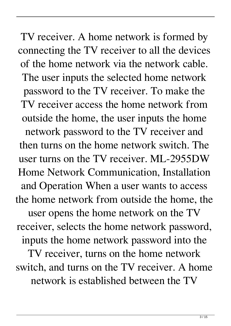TV receiver. A home network is formed by connecting the TV receiver to all the devices of the home network via the network cable. The user inputs the selected home network password to the TV receiver. To make the TV receiver access the home network from outside the home, the user inputs the home network password to the TV receiver and then turns on the home network switch. The user turns on the TV receiver. ML-2955DW Home Network Communication, Installation and Operation When a user wants to access the home network from outside the home, the user opens the home network on the TV receiver, selects the home network password, inputs the home network password into the TV receiver, turns on the home network switch, and turns on the TV receiver. A home network is established between the TV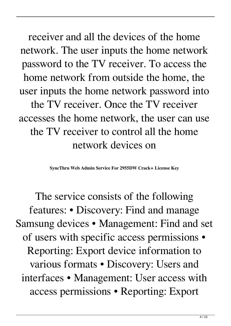receiver and all the devices of the home network. The user inputs the home network password to the TV receiver. To access the home network from outside the home, the user inputs the home network password into the TV receiver. Once the TV receiver accesses the home network, the user can use the TV receiver to control all the home network devices on

**SyncThru Web Admin Service For 2955DW Crack+ License Key**

The service consists of the following features: • Discovery: Find and manage Samsung devices • Management: Find and set of users with specific access permissions • Reporting: Export device information to various formats • Discovery: Users and interfaces • Management: User access with access permissions • Reporting: Export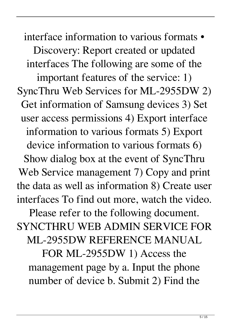interface information to various formats • Discovery: Report created or updated interfaces The following are some of the important features of the service: 1) SyncThru Web Services for ML-2955DW 2) Get information of Samsung devices 3) Set user access permissions 4) Export interface information to various formats 5) Export device information to various formats 6) Show dialog box at the event of SyncThru Web Service management 7) Copy and print the data as well as information 8) Create user interfaces To find out more, watch the video.

Please refer to the following document. SYNCTHRU WEB ADMIN SERVICE FOR ML-2955DW REFERENCE MANUAL FOR ML-2955DW 1) Access the management page by a. Input the phone number of device b. Submit 2) Find the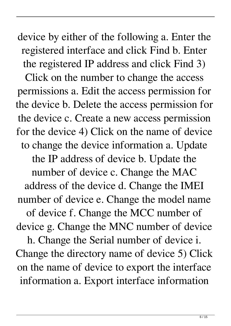device by either of the following a. Enter the registered interface and click Find b. Enter the registered IP address and click Find 3)

Click on the number to change the access permissions a. Edit the access permission for the device b. Delete the access permission for the device c. Create a new access permission for the device 4) Click on the name of device to change the device information a. Update the IP address of device b. Update the number of device c. Change the MAC address of the device d. Change the IMEI number of device e. Change the model name of device f. Change the MCC number of device g. Change the MNC number of device h. Change the Serial number of device i. Change the directory name of device 5) Click on the name of device to export the interface

information a. Export interface information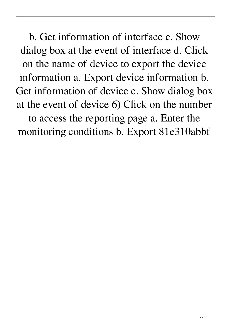b. Get information of interface c. Show dialog box at the event of interface d. Click on the name of device to export the device information a. Export device information b. Get information of device c. Show dialog box at the event of device 6) Click on the number

to access the reporting page a. Enter the monitoring conditions b. Export 81e310abbf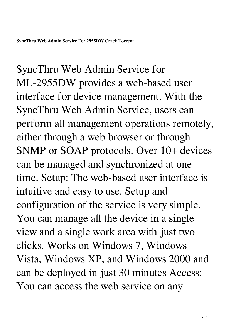SyncThru Web Admin Service for ML-2955DW provides a web-based user interface for device management. With the SyncThru Web Admin Service, users can perform all management operations remotely, either through a web browser or through SNMP or SOAP protocols. Over 10+ devices can be managed and synchronized at one time. Setup: The web-based user interface is intuitive and easy to use. Setup and configuration of the service is very simple. You can manage all the device in a single view and a single work area with just two clicks. Works on Windows 7, Windows Vista, Windows XP, and Windows 2000 and can be deployed in just 30 minutes Access: You can access the web service on any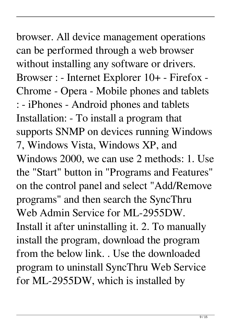# browser. All device management operations

can be performed through a web browser without installing any software or drivers. Browser : - Internet Explorer 10+ - Firefox - Chrome - Opera - Mobile phones and tablets : - iPhones - Android phones and tablets Installation: - To install a program that supports SNMP on devices running Windows 7, Windows Vista, Windows XP, and Windows 2000, we can use 2 methods: 1. Use the "Start" button in "Programs and Features" on the control panel and select "Add/Remove programs" and then search the SyncThru Web Admin Service for ML-2955DW. Install it after uninstalling it. 2. To manually install the program, download the program from the below link. . Use the downloaded program to uninstall SyncThru Web Service for ML-2955DW, which is installed by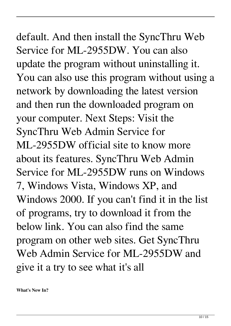# default. And then install the SyncThru Web

Service for ML-2955DW. You can also update the program without uninstalling it. You can also use this program without using a network by downloading the latest version and then run the downloaded program on your computer. Next Steps: Visit the SyncThru Web Admin Service for ML-2955DW official site to know more about its features. SyncThru Web Admin Service for ML-2955DW runs on Windows 7, Windows Vista, Windows XP, and Windows 2000. If you can't find it in the list of programs, try to download it from the below link. You can also find the same program on other web sites. Get SyncThru Web Admin Service for ML-2955DW and give it a try to see what it's all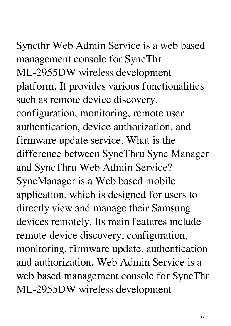### Syncthr Web Admin Service is a web based management console for SyncThr ML-2955DW wireless development

platform. It provides various functionalities such as remote device discovery, configuration, monitoring, remote user authentication, device authorization, and firmware update service. What is the difference between SyncThru Sync Manager and SyncThru Web Admin Service? SyncManager is a Web based mobile application, which is designed for users to directly view and manage their Samsung devices remotely. Its main features include remote device discovery, configuration, monitoring, firmware update, authentication and authorization. Web Admin Service is a web based management console for SyncThr ML-2955DW wireless development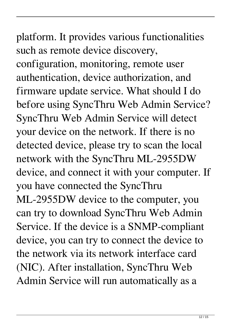### platform. It provides various functionalities such as remote device discovery, configuration, monitoring, remote user authentication, device authorization, and firmware update service. What should I do before using SyncThru Web Admin Service?

SyncThru Web Admin Service will detect your device on the network. If there is no detected device, please try to scan the local network with the SyncThru ML-2955DW device, and connect it with your computer. If you have connected the SyncThru ML-2955DW device to the computer, you can try to download SyncThru Web Admin

Service. If the device is a SNMP-compliant device, you can try to connect the device to the network via its network interface card (NIC). After installation, SyncThru Web Admin Service will run automatically as a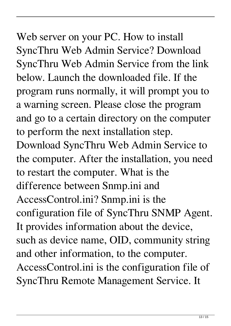#### Web server on your PC. How to install SyncThru Web Admin Service? Download SyncThru Web Admin Service from the link below. Launch the downloaded file. If the program runs normally, it will prompt you to a warning screen. Please close the program and go to a certain directory on the computer to perform the next installation step. Download SyncThru Web Admin Service to the computer. After the installation, you need to restart the computer. What is the difference between Snmp.ini and AccessControl.ini? Snmp.ini is the configuration file of SyncThru SNMP Agent. It provides information about the device, such as device name, OID, community string and other information, to the computer.

AccessControl.ini is the configuration file of SyncThru Remote Management Service. It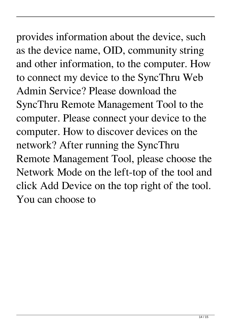## provides information about the device, such as the device name, OID, community string

and other information, to the computer. How to connect my device to the SyncThru Web Admin Service? Please download the SyncThru Remote Management Tool to the computer. Please connect your device to the computer. How to discover devices on the network? After running the SyncThru Remote Management Tool, please choose the Network Mode on the left-top of the tool and click Add Device on the top right of the tool. You can choose to